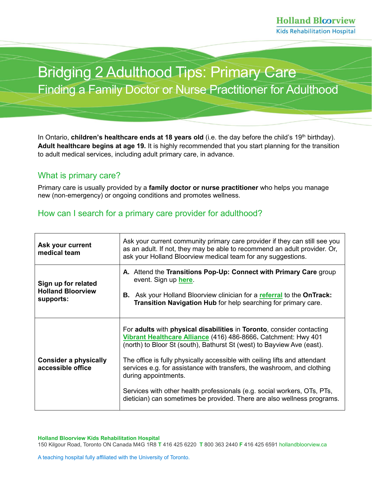# Bridging 2 Adulthood Tips: Primary Care Finding a Family Doctor or Nurse Practitioner for Adulthood

In Ontario, **children's healthcare ends at 18 years old** (i.e. the day before the child's 19<sup>th</sup> birthday). **Adult healthcare begins at age 19.** It is highly recommended that you start planning for the transition to adult medical services, including adult primary care, in advance.

### What is primary care?

Primary care is usually provided by a **family doctor or nurse practitioner** who helps you manage new (non-emergency) or ongoing conditions and promotes wellness.

## How can I search for a primary care provider for adulthood?

| Ask your current<br>medical team                             | Ask your current community primary care provider if they can still see you<br>as an adult. If not, they may be able to recommend an adult provider. Or,<br>ask your Holland Bloorview medical team for any suggestions.                                                                                                                                                                                                                                                                                                                                   |
|--------------------------------------------------------------|-----------------------------------------------------------------------------------------------------------------------------------------------------------------------------------------------------------------------------------------------------------------------------------------------------------------------------------------------------------------------------------------------------------------------------------------------------------------------------------------------------------------------------------------------------------|
| Sign up for related<br><b>Holland Bloorview</b><br>supports: | A. Attend the Transitions Pop-Up: Connect with Primary Care group<br>event. Sign up here.<br><b>B.</b> Ask your Holland Bloorview clinician for a referral to the OnTrack:<br>Transition Navigation Hub for help searching for primary care.                                                                                                                                                                                                                                                                                                              |
| <b>Consider a physically</b><br>accessible office            | For adults with physical disabilities in Toronto, consider contacting<br>Vibrant Healthcare Alliance (416) 486-8666. Catchment: Hwy 401<br>(north) to Bloor St (south), Bathurst St (west) to Bayview Ave (east).<br>The office is fully physically accessible with ceiling lifts and attendant<br>services e.g. for assistance with transfers, the washroom, and clothing<br>during appointments.<br>Services with other health professionals (e.g. social workers, OTs, PTs,<br>dietician) can sometimes be provided. There are also wellness programs. |